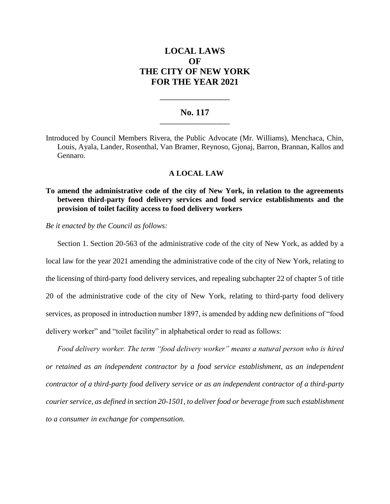# **LOCAL LAWS OF THE CITY OF NEW YORK FOR THE YEAR 2021**

### **No. 117 \_\_\_\_\_\_\_\_\_\_\_\_\_\_\_\_\_\_\_\_\_\_**

**\_\_\_\_\_\_\_\_\_\_\_\_\_\_\_\_\_\_\_\_\_\_**

Introduced by Council Members Rivera, the Public Advocate (Mr. Williams), Menchaca, Chin, Louis, Ayala, Lander, Rosenthal, Van Bramer, Reynoso, Gjonaj, Barron, Brannan, Kallos and Gennaro.

### **A LOCAL LAW**

## **To amend the administrative code of the city of New York, in relation to the agreements between third-party food delivery services and food service establishments and the provision of toilet facility access to food delivery workers**

*Be it enacted by the Council as follows:*

Section 1. Section 20-563 of the administrative code of the city of New York, as added by a local law for the year 2021 amending the administrative code of the city of New York, relating to the licensing of third-party food delivery services, and repealing subchapter 22 of chapter 5 of title 20 of the administrative code of the city of New York, relating to third-party food delivery services, as proposed in introduction number 1897, is amended by adding new definitions of "food delivery worker" and "toilet facility" in alphabetical order to read as follows:

*Food delivery worker. The term "food delivery worker" means a natural person who is hired or retained as an independent contractor by a food service establishment, as an independent contractor of a third-party food delivery service or as an independent contractor of a third-party courier service, as defined in section 20-1501, to deliver food or beverage from such establishment to a consumer in exchange for compensation.*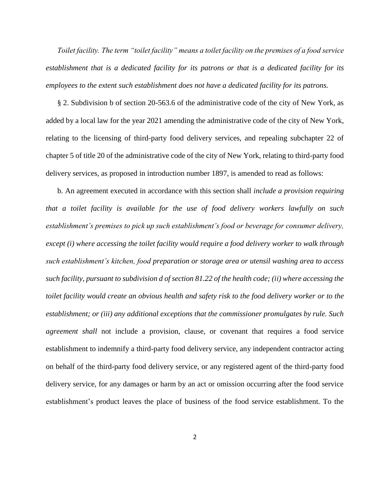*Toilet facility. The term "toilet facility" means a toilet facility on the premises of a food service establishment that is a dedicated facility for its patrons or that is a dedicated facility for its employees to the extent such establishment does not have a dedicated facility for its patrons.* 

§ 2. Subdivision b of section 20-563.6 of the administrative code of the city of New York, as added by a local law for the year 2021 amending the administrative code of the city of New York, relating to the licensing of third-party food delivery services, and repealing subchapter 22 of chapter 5 of title 20 of the administrative code of the city of New York, relating to third-party food delivery services, as proposed in introduction number 1897, is amended to read as follows:

b. An agreement executed in accordance with this section shall *include a provision requiring that a toilet facility is available for the use of food delivery workers lawfully on such establishment's premises to pick up such establishment's food or beverage for consumer delivery, except (i) where accessing the toilet facility would require a food delivery worker to walk through such establishment's kitchen, food preparation or storage area or utensil washing area to access such facility, pursuant to subdivision d of section 81.22 of the health code; (ii) where accessing the toilet facility would create an obvious health and safety risk to the food delivery worker or to the establishment; or (iii) any additional exceptions that the commissioner promulgates by rule. Such agreement shall* not include a provision, clause, or covenant that requires a food service establishment to indemnify a third-party food delivery service, any independent contractor acting on behalf of the third-party food delivery service, or any registered agent of the third-party food delivery service, for any damages or harm by an act or omission occurring after the food service establishment's product leaves the place of business of the food service establishment. To the